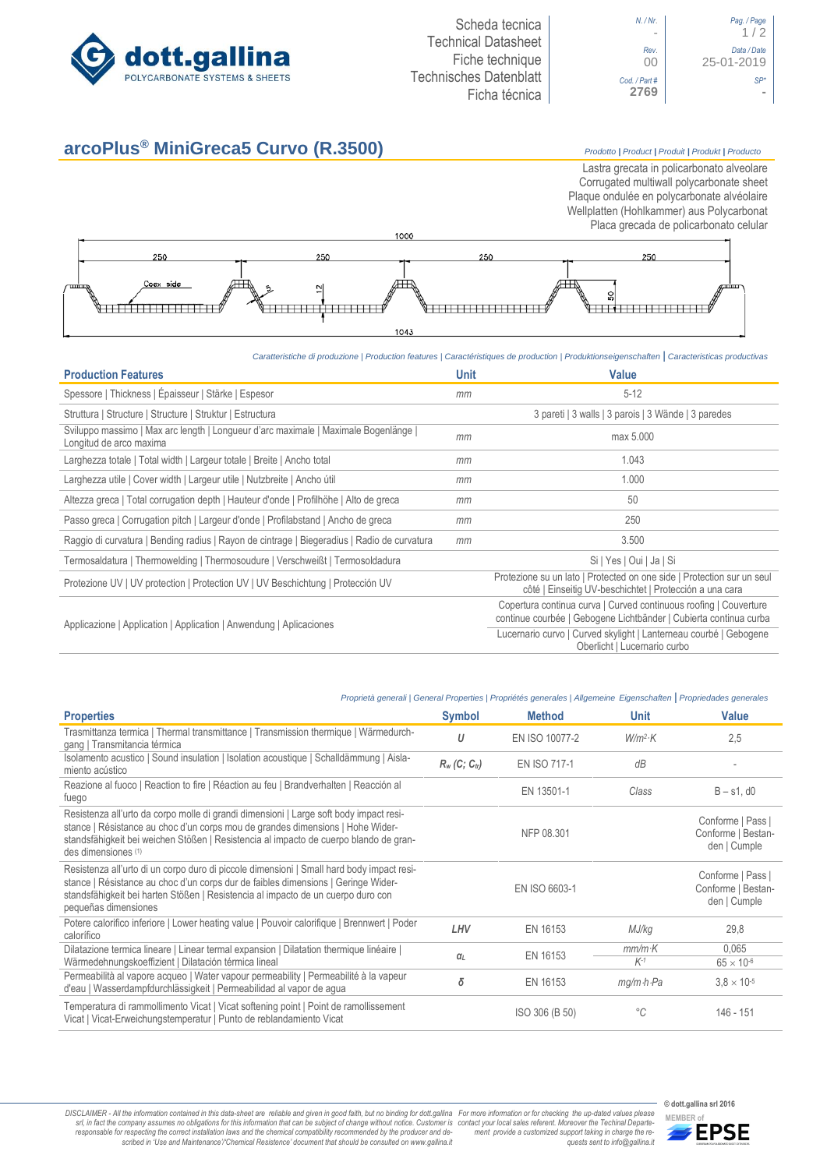

# **arcoPlus® MiniGreca5 Curvo (R.3500)** *Prodotto <sup>|</sup> Product <sup>|</sup> Produit <sup>|</sup> Produkt <sup>|</sup> Producto*

Lastra grecata in policarbonato alveolare Corrugated multiwall polycarbonate sheet Plaque ondulée en polycarbonate alvéolaire Wellplatten (Hohlkammer) aus Polycarbonat Placa grecada de policarbonato celular



# *Caratteristiche di produzione | Production features | Caractéristiques de production | Produktionseigenschaften* **|** *Caracteristicas productivas*

| <b>Production Features</b>                                                                                     | <b>Unit</b> | <b>Value</b>                                                                                                                           |  |
|----------------------------------------------------------------------------------------------------------------|-------------|----------------------------------------------------------------------------------------------------------------------------------------|--|
| Spessore   Thickness   Épaisseur   Stärke   Espesor                                                            | mm          | $5 - 12$                                                                                                                               |  |
| Struttura   Structure   Structure   Struktur   Estructura                                                      |             | 3 pareti   3 walls   3 parois   3 Wände   3 paredes                                                                                    |  |
| Sviluppo massimo   Max arc length   Longueur d'arc maximale   Maximale Bogenlänge  <br>Longitud de arco maxima | mm          | max 5.000                                                                                                                              |  |
| Larghezza totale   Total width   Largeur totale   Breite   Ancho total                                         | mm          | 1.043                                                                                                                                  |  |
| Larghezza utile   Cover width   Largeur utile   Nutzbreite   Ancho útil                                        | mm          | 1.000                                                                                                                                  |  |
| Altezza greca   Total corrugation depth   Hauteur d'onde   Profilhöhe   Alto de greca                          | mm          | 50                                                                                                                                     |  |
| Passo greca   Corrugation pitch   Largeur d'onde   Profilabstand   Ancho de greca                              | mm          | 250                                                                                                                                    |  |
| Raggio di curvatura   Bending radius   Rayon de cintrage   Biegeradius   Radio de curvatura                    | mm          | 3.500                                                                                                                                  |  |
| Termosaldatura   Thermowelding   Thermosoudure   Verschweißt   Termosoldadura                                  |             | Si   Yes   Oui   Ja   Si                                                                                                               |  |
| Protezione UV   UV protection   Protection UV   UV Beschichtung   Protección UV                                |             | Protezione su un lato   Protected on one side   Protection sur un seul<br>côté   Einseitig UV-beschichtet   Protección a una cara      |  |
| Applicazione   Application   Application   Anwendung   Aplicaciones                                            |             | Copertura continua curva   Curved continuous roofing   Couverture<br>continue courbée   Gebogene Lichtbänder   Cubierta continua curba |  |
|                                                                                                                |             | Lucernario curvo   Curved skylight   Lanterneau courbé   Gebogene<br>Oberlicht   Lucernario curbo                                      |  |

### *Proprietà generali | General Properties | Propriétés generales | Allgemeine Eigenschaften* **|** *Propriedades generales*

| <b>Properties</b>                                                                                                                                                                                                                                                                          | <b>Symbol</b>               | <b>Method</b>  | <b>Unit</b>             | Value                                                   |
|--------------------------------------------------------------------------------------------------------------------------------------------------------------------------------------------------------------------------------------------------------------------------------------------|-----------------------------|----------------|-------------------------|---------------------------------------------------------|
| Trasmittanza termica   Thermal transmittance   Transmission thermique   Wärmedurch-<br>gang   Transmitancia térmica                                                                                                                                                                        | U                           | EN ISO 10077-2 | $W/m^2$ K               | 2,5                                                     |
| Isolamento acustico   Sound insulation   Isolation acoustique   Schalldämmung   Aisla-<br>miento acústico                                                                                                                                                                                  | $R_w$ (C; C <sub>tr</sub> ) | EN ISO 717-1   | dB                      |                                                         |
| Reazione al fuoco   Reaction to fire   Réaction au feu   Brandverhalten   Reacción al<br>fuego                                                                                                                                                                                             |                             | EN 13501-1     | Class                   | $B - s1$ , d $0$                                        |
| Resistenza all'urto da corpo molle di grandi dimensioni   Large soft body impact resi-<br>stance   Résistance au choc d'un corps mou de grandes dimensions   Hohe Wider-<br>standsfähigkeit bei weichen Stößen   Resistencia al impacto de cuerpo blando de gran-<br>des dimensiones (1)   |                             | NFP 08.301     |                         | Conforme   Pass  <br>Conforme   Bestan-<br>den   Cumple |
| Resistenza all'urto di un corpo duro di piccole dimensioni   Small hard body impact resi-<br>stance   Résistance au choc d'un corps dur de faibles dimensions   Geringe Wider-<br>standsfähigkeit bei harten Stößen   Resistencia al impacto de un cuerpo duro con<br>pequeñas dimensiones |                             | EN ISO 6603-1  |                         | Conforme   Pass  <br>Conforme   Bestan-<br>den   Cumple |
| Potere calorifico inferiore   Lower heating value   Pouvoir calorifique   Brennwert   Poder<br>calorífico                                                                                                                                                                                  | LHV                         | EN 16153       | MJ/kg                   | 29,8                                                    |
| Dilatazione termica lineare   Linear termal expansion   Dilatation thermique linéaire                                                                                                                                                                                                      | EN 16153<br>$\alpha$        |                | $mm/m$ K                | 0,065                                                   |
| Wärmedehnungskoeffizient   Dilatación térmica lineal                                                                                                                                                                                                                                       |                             | $K-1$          | $65 \times 10^{-6}$     |                                                         |
| Permeabilità al vapore acqueo   Water vapour permeability   Permeabilité à la vapeur<br>d'eau   Wasserdampfdurchlässigkeit   Permeabilidad al vapor de agua                                                                                                                                | δ                           | EN 16153       | $mq/m \cdot h \cdot Pa$ | $3.8 \times 10^{-5}$                                    |
| Temperatura di rammollimento Vicat   Vicat softening point   Point de ramollissement<br>Vicat   Vicat-Erweichungstemperatur   Punto de reblandamiento Vicat                                                                                                                                |                             | ISO 306 (B 50) | $^{\circ}C$             | 146 - 151                                               |



**© dott.gallina srl 2016**